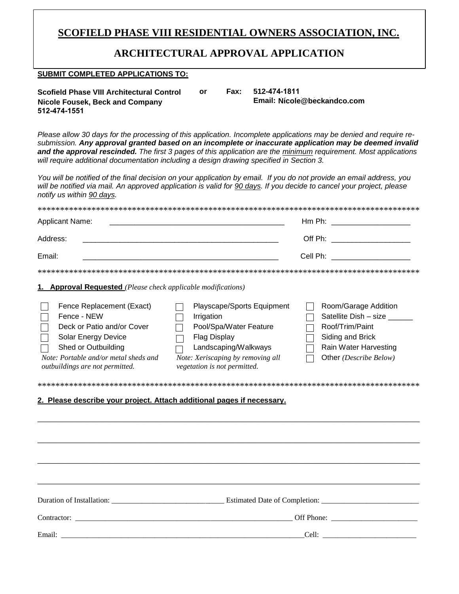## **SCOFIELD PHASE VIII RESIDENTIAL OWNERS ASSOCIATION, INC.**

### **ARCHITECTURAL APPROVAL APPLICATION**

#### **SUBMIT COMPLETED APPLICATIONS TO:**

| Scofield Phase VIII Architectural Control | or | Fax: | 512-474-1811                |
|-------------------------------------------|----|------|-----------------------------|
| Nicole Fousek, Beck and Company           |    |      | Email: Nicole@beckandco.com |
| 512-474-1551                              |    |      |                             |

*Please allow 30 days for the processing of this application. Incomplete applications may be denied and require resubmission. Any approval granted based on an incomplete or inaccurate application may be deemed invalid and the approval rescinded. The first 3 pages of this application are the minimum requirement. Most applications will require additional documentation including a design drawing specified in Section 3.* 

*You will be notified of the final decision on your application by email. If you do not provide an email address, you will be notified via mail. An approved application is valid for 90 days. If you decide to cancel your project, please notify us within 90 days.*

| <b>Applicant Name:</b>                                                                                                                                                                                                                                                     | Hm Ph: ________________________                                                                                                                                                        |                                                                                                                                         |  |
|----------------------------------------------------------------------------------------------------------------------------------------------------------------------------------------------------------------------------------------------------------------------------|----------------------------------------------------------------------------------------------------------------------------------------------------------------------------------------|-----------------------------------------------------------------------------------------------------------------------------------------|--|
| Address:                                                                                                                                                                                                                                                                   |                                                                                                                                                                                        | Off Ph: _______________________                                                                                                         |  |
| Email:                                                                                                                                                                                                                                                                     |                                                                                                                                                                                        | Cell Ph: _____________________                                                                                                          |  |
|                                                                                                                                                                                                                                                                            |                                                                                                                                                                                        |                                                                                                                                         |  |
| 1. Approval Requested (Please check applicable modifications)                                                                                                                                                                                                              |                                                                                                                                                                                        |                                                                                                                                         |  |
| Fence Replacement (Exact)<br>Fence - NEW<br>Deck or Patio and/or Cover<br>Solar Energy Device<br>Shed or Outbuilding<br>Note: Portable and/or metal sheds and<br>outbuildings are not permitted.<br>2. Please describe your project. Attach additional pages if necessary. | Playscape/Sports Equipment<br>Irrigation<br>Pool/Spa/Water Feature<br><b>Flag Display</b><br>Landscaping/Walkways<br>Note: Xeriscaping by removing all<br>vegetation is not permitted. | Room/Garage Addition<br>Satellite Dish - size<br>Roof/Trim/Paint<br>Siding and Brick<br>Rain Water Harvesting<br>Other (Describe Below) |  |
|                                                                                                                                                                                                                                                                            |                                                                                                                                                                                        |                                                                                                                                         |  |
|                                                                                                                                                                                                                                                                            |                                                                                                                                                                                        |                                                                                                                                         |  |
| Email:                                                                                                                                                                                                                                                                     |                                                                                                                                                                                        |                                                                                                                                         |  |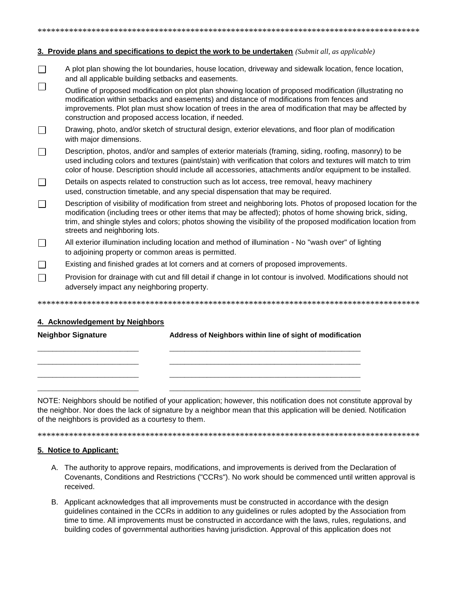| 3. Provide plans and specifications to depict the work to be undertaken (Submit all, as applicable) |                                                                                                                                                                                                                                                                                                                                                                                |  |  |  |  |
|-----------------------------------------------------------------------------------------------------|--------------------------------------------------------------------------------------------------------------------------------------------------------------------------------------------------------------------------------------------------------------------------------------------------------------------------------------------------------------------------------|--|--|--|--|
|                                                                                                     | A plot plan showing the lot boundaries, house location, driveway and sidewalk location, fence location,<br>and all applicable building setbacks and easements.                                                                                                                                                                                                                 |  |  |  |  |
|                                                                                                     | Outline of proposed modification on plot plan showing location of proposed modification (illustrating no<br>modification within setbacks and easements) and distance of modifications from fences and<br>improvements. Plot plan must show location of trees in the area of modification that may be affected by<br>construction and proposed access location, if needed.      |  |  |  |  |
|                                                                                                     | Drawing, photo, and/or sketch of structural design, exterior elevations, and floor plan of modification<br>with major dimensions.                                                                                                                                                                                                                                              |  |  |  |  |
|                                                                                                     | Description, photos, and/or and samples of exterior materials (framing, siding, roofing, masonry) to be<br>used including colors and textures (paint/stain) with verification that colors and textures will match to trim<br>color of house. Description should include all accessories, attachments and/or equipment to be installed.                                         |  |  |  |  |
|                                                                                                     | Details on aspects related to construction such as lot access, tree removal, heavy machinery<br>used, construction timetable, and any special dispensation that may be required.                                                                                                                                                                                               |  |  |  |  |
|                                                                                                     | Description of visibility of modification from street and neighboring lots. Photos of proposed location for the<br>modification (including trees or other items that may be affected); photos of home showing brick, siding,<br>trim, and shingle styles and colors; photos showing the visibility of the proposed modification location from<br>streets and neighboring lots. |  |  |  |  |
|                                                                                                     | All exterior illumination including location and method of illumination - No "wash over" of lighting<br>to adjoining property or common areas is permitted.                                                                                                                                                                                                                    |  |  |  |  |
|                                                                                                     | Existing and finished grades at lot corners and at corners of proposed improvements.                                                                                                                                                                                                                                                                                           |  |  |  |  |
|                                                                                                     | Provision for drainage with cut and fill detail if change in lot contour is involved. Modifications should not<br>adversely impact any neighboring property.                                                                                                                                                                                                                   |  |  |  |  |
|                                                                                                     |                                                                                                                                                                                                                                                                                                                                                                                |  |  |  |  |

\*\*\*\*\*\*\*\*\*\*\*\*\*\*\*\*\*\*\*\*\*\*\*\*\*\*\*\*\*\*\*\*\*\*\*\*\*\*\*\*\*\*\*\*\*\*\*\*\*\*\*\*\*\*\*\*\*\*\*\*\*\*\*\*\*\*\*\*\*\*\*\*\*\*\*\*\*\*\*\*\*\*\*\*\*

### **4. Acknowledgement by Neighbors**

| <b>Neighbor Signature</b> | Address of Neighbors within line of sight of modification |  |  |
|---------------------------|-----------------------------------------------------------|--|--|
|                           |                                                           |  |  |
|                           |                                                           |  |  |
|                           |                                                           |  |  |

NOTE: Neighbors should be notified of your application; however, this notification does not constitute approval by the neighbor. Nor does the lack of signature by a neighbor mean that this application will be denied. Notification of the neighbors is provided as a courtesy to them.

#### \*\*\*\*\*\*\*\*\*\*\*\*\*\*\*\*\*\*\*\*\*\*\*\*\*\*\*\*\*\*\*\*\*\*\*\*\*\*\*\*\*\*\*\*\*\*\*\*\*\*\*\*\*\*\*\*\*\*\*\*\*\*\*\*\*\*\*\*\*\*\*\*\*\*\*\*\*\*\*\*\*\*\*\*\*

### **5. Notice to Applicant:**

- A. The authority to approve repairs, modifications, and improvements is derived from the Declaration of Covenants, Conditions and Restrictions ("CCRs"). No work should be commenced until written approval is received.
- B. Applicant acknowledges that all improvements must be constructed in accordance with the design guidelines contained in the CCRs in addition to any guidelines or rules adopted by the Association from time to time. All improvements must be constructed in accordance with the laws, rules, regulations, and building codes of governmental authorities having jurisdiction. Approval of this application does not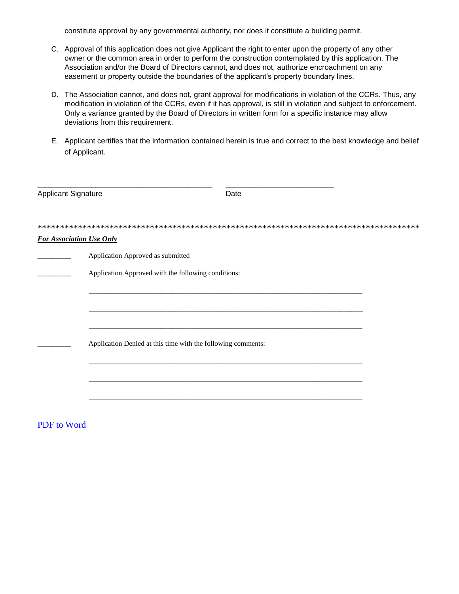constitute approval by any governmental authority, nor does it constitute a building permit.

- C. Approval of this application does not give Applicant the right to enter upon the property of any other owner or the common area in order to perform the construction contemplated by this application. The Association and/or the Board of Directors cannot, and does not, authorize encroachment on any easement or property outside the boundaries of the applicant's property boundary lines.
- D. The Association cannot, and does not, grant approval for modifications in violation of the CCRs. Thus, any modification in violation of the CCRs, even if it has approval, is still in violation and subject to enforcement. Only a variance granted by the Board of Directors in written form for a specific instance may allow deviations from this requirement.
- E. Applicant certifies that the information contained herein is true and correct to the best knowledge and belief of Applicant.

| <b>Applicant Signature</b> |                                                              | Date |  |
|----------------------------|--------------------------------------------------------------|------|--|
|                            |                                                              |      |  |
|                            | <b>For Association Use Only</b>                              |      |  |
|                            | Application Approved as submitted                            |      |  |
|                            | Application Approved with the following conditions:          |      |  |
|                            |                                                              |      |  |
|                            |                                                              |      |  |
|                            |                                                              |      |  |
|                            | Application Denied at this time with the following comments: |      |  |
|                            |                                                              |      |  |
|                            |                                                              |      |  |
|                            |                                                              |      |  |
|                            |                                                              |      |  |

### [PDF to Word](http://pdfonline.blogspot.com/)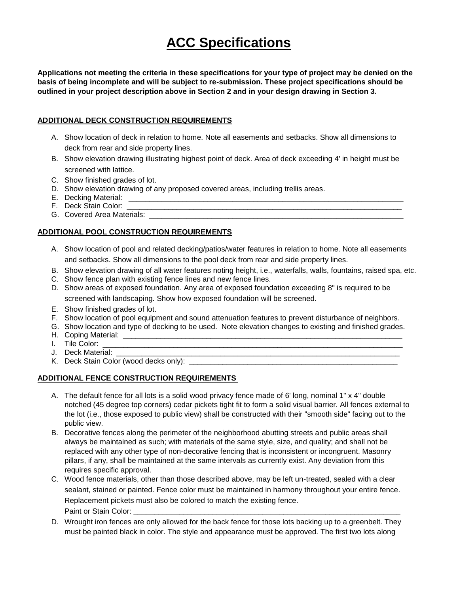# **ACC Specifications**

**Applications not meeting the criteria in these specifications for your type of project may be denied on the basis of being incomplete and will be subject to re-submission. These project specifications should be outlined in your project description above in Section 2 and in your design drawing in Section 3.** 

### **ADDITIONAL DECK CONSTRUCTION REQUIREMENTS**

- A. Show location of deck in relation to home. Note all easements and setbacks. Show all dimensions to deck from rear and side property lines.
- B. Show elevation drawing illustrating highest point of deck. Area of deck exceeding 4' in height must be screened with lattice.
- C. Show finished grades of lot.
- D. Show elevation drawing of any proposed covered areas, including trellis areas.
- E. Decking Material: \_\_\_\_\_\_\_\_\_\_\_\_\_\_\_
- F. Deck Stain Color:
- G. Covered Area Materials:

### **ADDITIONAL POOL CONSTRUCTION REQUIREMENTS**

- A. Show location of pool and related decking/patios/water features in relation to home. Note all easements and setbacks. Show all dimensions to the pool deck from rear and side property lines.
- B. Show elevation drawing of all water features noting height, i.e., waterfalls, walls, fountains, raised spa, etc.
- C. Show fence plan with existing fence lines and new fence lines.
- D. Show areas of exposed foundation. Any area of exposed foundation exceeding 8" is required to be screened with landscaping. Show how exposed foundation will be screened.
- E. Show finished grades of lot.
- F. Show location of pool equipment and sound attenuation features to prevent disturbance of neighbors.
- G. Show location and type of decking to be used. Note elevation changes to existing and finished grades.
- H. Coping Material: \_\_\_\_\_\_\_\_\_\_\_\_\_\_\_\_\_\_\_\_\_\_\_\_\_\_\_\_\_\_\_\_\_\_\_\_\_\_\_\_\_\_\_\_\_\_\_\_\_\_\_\_\_\_\_\_\_\_\_\_\_\_\_\_\_\_\_
- I. Tile Color:
- J. Deck Material:
- K. Deck Stain Color (wood decks only):

### **ADDITIONAL FENCE CONSTRUCTION REQUIREMENTS**

- A. The default fence for all lots is a solid wood privacy fence made of 6' long, nominal 1" x 4" double notched (45 degree top corners) cedar pickets tight fit to form a solid visual barrier. All fences external to the lot (i.e., those exposed to public view) shall be constructed with their "smooth side" facing out to the public view.
- B. Decorative fences along the perimeter of the neighborhood abutting streets and public areas shall always be maintained as such; with materials of the same style, size, and quality; and shall not be replaced with any other type of non-decorative fencing that is inconsistent or incongruent. Masonry pillars, if any, shall be maintained at the same intervals as currently exist. Any deviation from this requires specific approval.
- C. Wood fence materials, other than those described above, may be left un-treated, sealed with a clear sealant, stained or painted. Fence color must be maintained in harmony throughout your entire fence. Replacement pickets must also be colored to match the existing fence. Paint or Stain Color: \_\_
- D. Wrought iron fences are only allowed for the back fence for those lots backing up to a greenbelt. They must be painted black in color. The style and appearance must be approved. The first two lots along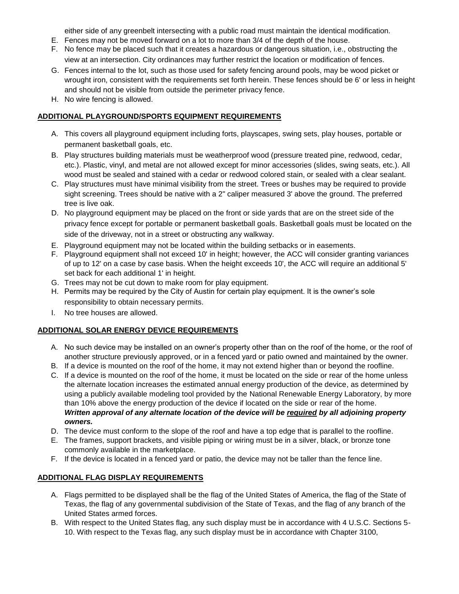either side of any greenbelt intersecting with a public road must maintain the identical modification.

- E. Fences may not be moved forward on a lot to more than 3/4 of the depth of the house.
- F. No fence may be placed such that it creates a hazardous or dangerous situation, i.e., obstructing the view at an intersection. City ordinances may further restrict the location or modification of fences.
- G. Fences internal to the lot, such as those used for safety fencing around pools, may be wood picket or wrought iron, consistent with the requirements set forth herein. These fences should be 6' or less in height and should not be visible from outside the perimeter privacy fence.
- H. No wire fencing is allowed.

### **ADDITIONAL PLAYGROUND/SPORTS EQUIPMENT REQUIREMENTS**

- A. This covers all playground equipment including forts, playscapes, swing sets, play houses, portable or permanent basketball goals, etc.
- B. Play structures building materials must be weatherproof wood (pressure treated pine, redwood, cedar, etc.). Plastic, vinyl, and metal are not allowed except for minor accessories (slides, swing seats, etc.). All wood must be sealed and stained with a cedar or redwood colored stain, or sealed with a clear sealant.
- C. Play structures must have minimal visibility from the street. Trees or bushes may be required to provide sight screening. Trees should be native with a 2" caliper measured 3' above the ground. The preferred tree is live oak.
- D. No playground equipment may be placed on the front or side yards that are on the street side of the privacy fence except for portable or permanent basketball goals. Basketball goals must be located on the side of the driveway, not in a street or obstructing any walkway.
- E. Playground equipment may not be located within the building setbacks or in easements.
- F. Playground equipment shall not exceed 10' in height; however, the ACC will consider granting variances of up to 12' on a case by case basis. When the height exceeds 10', the ACC will require an additional 5' set back for each additional 1' in height.
- G. Trees may not be cut down to make room for play equipment.
- H. Permits may be required by the City of Austin for certain play equipment. It is the owner's sole responsibility to obtain necessary permits.
- I. No tree houses are allowed.

### **ADDITIONAL SOLAR ENERGY DEVICE REQUIREMENTS**

- A. No such device may be installed on an owner's property other than on the roof of the home, or the roof of another structure previously approved, or in a fenced yard or patio owned and maintained by the owner.
- B. If a device is mounted on the roof of the home, it may not extend higher than or beyond the roofline.
- C. If a device is mounted on the roof of the home, it must be located on the side or rear of the home unless the alternate location increases the estimated annual energy production of the device, as determined by using a publicly available modeling tool provided by the National Renewable Energy Laboratory, by more than 10% above the energy production of the device if located on the side or rear of the home. *Written approval of any alternate location of the device will be required by all adjoining property owners.*
- D. The device must conform to the slope of the roof and have a top edge that is parallel to the roofline.
- E. The frames, support brackets, and visible piping or wiring must be in a silver, black, or bronze tone commonly available in the marketplace.
- F. If the device is located in a fenced yard or patio, the device may not be taller than the fence line.

### **ADDITIONAL FLAG DISPLAY REQUIREMENTS**

- A. Flags permitted to be displayed shall be the flag of the United States of America, the flag of the State of Texas, the flag of any governmental subdivision of the State of Texas, and the flag of any branch of the United States armed forces.
- B. With respect to the United States flag, any such display must be in accordance with 4 U.S.C. Sections 5- 10. With respect to the Texas flag, any such display must be in accordance with Chapter 3100,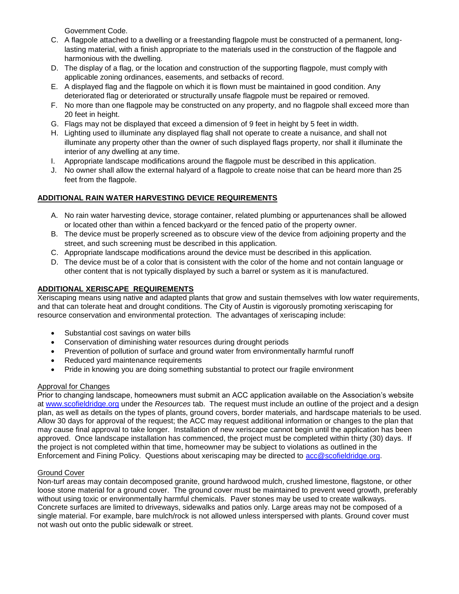Government Code.

- C. A flagpole attached to a dwelling or a freestanding flagpole must be constructed of a permanent, longlasting material, with a finish appropriate to the materials used in the construction of the flagpole and harmonious with the dwelling.
- D. The display of a flag, or the location and construction of the supporting flagpole, must comply with applicable zoning ordinances, easements, and setbacks of record.
- E. A displayed flag and the flagpole on which it is flown must be maintained in good condition. Any deteriorated flag or deteriorated or structurally unsafe flagpole must be repaired or removed.
- F. No more than one flagpole may be constructed on any property, and no flagpole shall exceed more than 20 feet in height.
- G. Flags may not be displayed that exceed a dimension of 9 feet in height by 5 feet in width.
- H. Lighting used to illuminate any displayed flag shall not operate to create a nuisance, and shall not illuminate any property other than the owner of such displayed flags property, nor shall it illuminate the interior of any dwelling at any time.
- I. Appropriate landscape modifications around the flagpole must be described in this application.
- J. No owner shall allow the external halyard of a flagpole to create noise that can be heard more than 25 feet from the flagpole.

### **ADDITIONAL RAIN WATER HARVESTING DEVICE REQUIREMENTS**

- A. No rain water harvesting device, storage container, related plumbing or appurtenances shall be allowed or located other than within a fenced backyard or the fenced patio of the property owner.
- B. The device must be properly screened as to obscure view of the device from adjoining property and the street, and such screening must be described in this application.
- C. Appropriate landscape modifications around the device must be described in this application.
- D. The device must be of a color that is consistent with the color of the home and not contain language or other content that is not typically displayed by such a barrel or system as it is manufactured.

### **ADDITIONAL XERISCAPE REQUIREMENTS**

Xeriscaping means using native and adapted plants that grow and sustain themselves with low water requirements, and that can tolerate heat and drought conditions. The City of Austin is vigorously promoting xeriscaping for resource conservation and environmental protection. The advantages of xeriscaping include:

- Substantial cost savings on water bills
- Conservation of diminishing water resources during drought periods
- Prevention of pollution of surface and ground water from environmentally harmful runoff
- Reduced yard maintenance requirements
- Pride in knowing you are doing something substantial to protect our fragile environment

### Approval for Changes

Prior to changing landscape, homeowners must submit an ACC application available on the Association's website at [www.scofieldridge.org](http://www.scofieldridge.org/) under the *Resources* tab. The request must include an outline of the project and a design plan, as well as details on the types of plants, ground covers, border materials, and hardscape materials to be used. Allow 30 days for approval of the request; the ACC may request additional information or changes to the plan that may cause final approval to take longer. Installation of new xeriscape cannot begin until the application has been approved. Once landscape installation has commenced, the project must be completed within thirty (30) days. If the project is not completed within that time, homeowner may be subject to violations as outlined in the Enforcement and Fining Policy. Questions about xeriscaping may be directed to [acc@scofieldridge.org.](mailto:acc@scofieldridge.org)

### Ground Cover

Non-turf areas may contain decomposed granite, ground hardwood mulch, crushed limestone, flagstone, or other loose stone material for a ground cover. The ground cover must be maintained to prevent weed growth, preferably without using toxic or environmentally harmful chemicals. Paver stones may be used to create walkways. Concrete surfaces are limited to driveways, sidewalks and patios only. Large areas may not be composed of a single material. For example, bare mulch/rock is not allowed unless interspersed with plants. Ground cover must not wash out onto the public sidewalk or street.